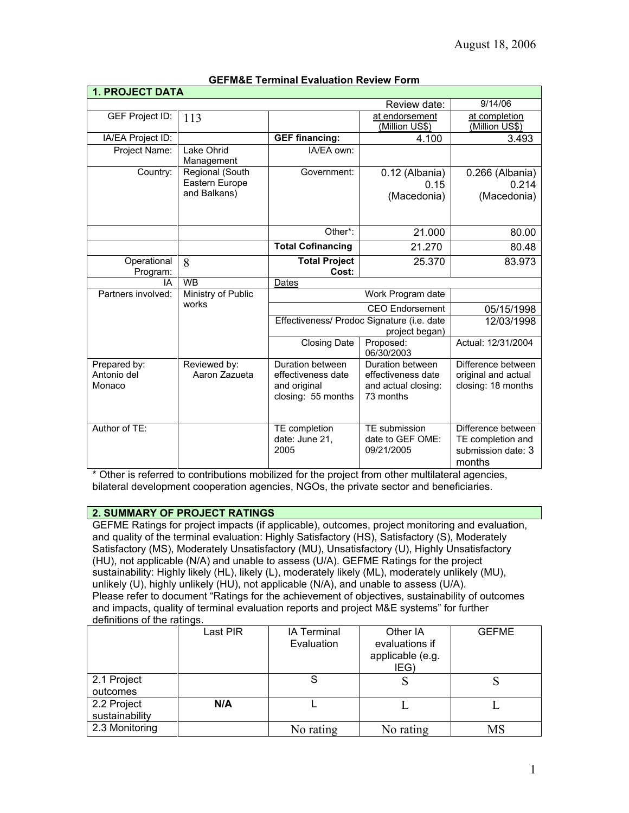| <b>1. PROJECT DATA</b>      |                               |                                            |                                       |                     |
|-----------------------------|-------------------------------|--------------------------------------------|---------------------------------------|---------------------|
|                             |                               |                                            | Review date:                          | 9/14/06             |
| <b>GEF Project ID:</b>      | 113                           |                                            | at endorsement                        | at completion       |
|                             |                               |                                            | (Million US\$)                        | (Million US\$)      |
| IA/EA Project ID:           |                               | <b>GEF financing:</b>                      | 4.100                                 | 3.493               |
| Project Name:               | Lake Ohrid<br>Management      | IA/EA own:                                 |                                       |                     |
| Country:                    | Regional (South               | Government:                                | 0.12 (Albania)                        | 0.266 (Albania)     |
|                             | Eastern Europe                |                                            | 0.15                                  | 0.214               |
|                             | and Balkans)                  |                                            | (Macedonia)                           | (Macedonia)         |
|                             |                               |                                            |                                       |                     |
|                             |                               |                                            |                                       |                     |
|                             |                               | Other*:                                    | 21.000                                | 80.00               |
|                             |                               | <b>Total Cofinancing</b>                   | 21.270                                | 80.48               |
| Operational                 | 8                             | <b>Total Project</b>                       | 25.370                                | 83.973              |
| Program:                    |                               | Cost:                                      |                                       |                     |
| IA                          | <b>WB</b>                     | Dates                                      |                                       |                     |
| Partners involved:          | Ministry of Public<br>works   | Work Program date                          |                                       |                     |
|                             |                               | <b>CEO</b> Endorsement                     |                                       | 05/15/1998          |
|                             |                               | Effectiveness/ Prodoc Signature (i.e. date |                                       | 12/03/1998          |
|                             |                               | project began)                             |                                       |                     |
|                             |                               | <b>Closing Date</b>                        | Proposed:                             | Actual: 12/31/2004  |
|                             |                               | Duration between                           | 06/30/2003<br><b>Duration between</b> | Difference between  |
| Prepared by:<br>Antonio del | Reviewed by:<br>Aaron Zazueta | effectiveness date                         | effectiveness date                    | original and actual |
| Monaco                      |                               | and original                               | and actual closing:                   | closing: 18 months  |
|                             |                               | closing: 55 months                         | 73 months                             |                     |
|                             |                               |                                            |                                       |                     |
|                             |                               |                                            |                                       |                     |
| Author of TE:               |                               | TE completion                              | TE submission                         | Difference between  |
|                             |                               | date: June 21,                             | date to GEF OME:                      | TE completion and   |
|                             |                               | 2005                                       | 09/21/2005                            | submission date: 3  |
|                             |                               |                                            |                                       | months              |

### **GEFM&E Terminal Evaluation Review Form**

\* Other is referred to contributions mobilized for the project from other multilateral agencies, bilateral development cooperation agencies, NGOs, the private sector and beneficiaries.

### **2. SUMMARY OF PROJECT RATINGS**

GEFME Ratings for project impacts (if applicable), outcomes, project monitoring and evaluation, and quality of the terminal evaluation: Highly Satisfactory (HS), Satisfactory (S), Moderately Satisfactory (MS), Moderately Unsatisfactory (MU), Unsatisfactory (U), Highly Unsatisfactory (HU), not applicable (N/A) and unable to assess (U/A). GEFME Ratings for the project sustainability: Highly likely (HL), likely (L), moderately likely (ML), moderately unlikely (MU), unlikely (U), highly unlikely (HU), not applicable (N/A), and unable to assess (U/A). Please refer to document "Ratings for the achievement of objectives, sustainability of outcomes and impacts, quality of terminal evaluation reports and project M&E systems" for further definitions of the ratings.

|                               | Last PIR | <b>IA Terminal</b><br>Evaluation | Other IA<br>evaluations if<br>applicable (e.g.<br>IEG) | <b>GEFME</b> |
|-------------------------------|----------|----------------------------------|--------------------------------------------------------|--------------|
| 2.1 Project<br>outcomes       |          | S                                |                                                        |              |
| 2.2 Project<br>sustainability | N/A      |                                  |                                                        |              |
| 2.3 Monitoring                |          | No rating                        | No rating                                              | MS           |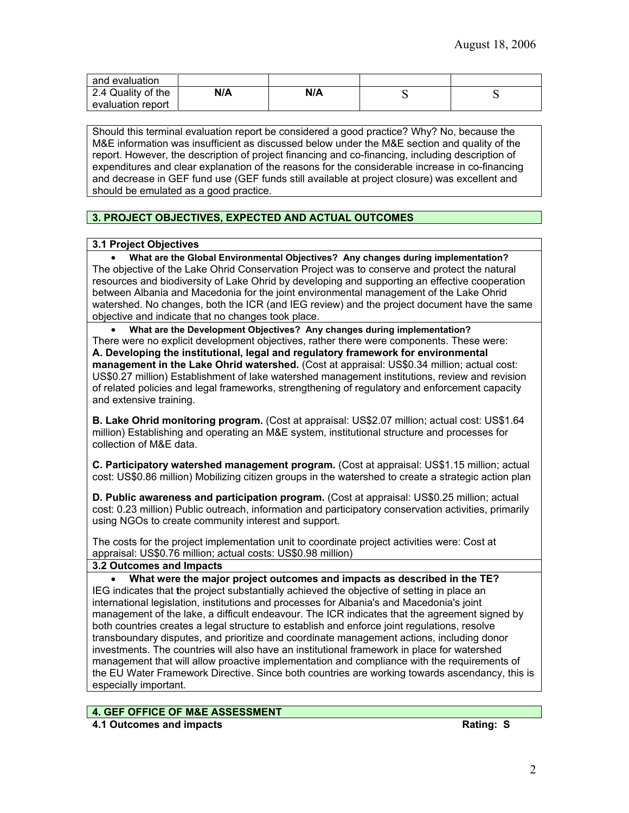| and evaluation     |     |     |  |
|--------------------|-----|-----|--|
| 2.4 Quality of the | N/A | N/A |  |
| evaluation report  |     |     |  |

Should this terminal evaluation report be considered a good practice? Why? No, because the M&E information was insufficient as discussed below under the M&E section and quality of the report. However, the description of project financing and co-financing, including description of expenditures and clear explanation of the reasons for the considerable increase in co-financing and decrease in GEF fund use (GEF funds still available at project closure) was excellent and should be emulated as a good practice.

# **3. PROJECT OBJECTIVES, EXPECTED AND ACTUAL OUTCOMES**

### **3.1 Project Objectives**

• **What are the Global Environmental Objectives? Any changes during implementation?** The objective of the Lake Ohrid Conservation Project was to conserve and protect the natural resources and biodiversity of Lake Ohrid by developing and supporting an effective cooperation between Albania and Macedonia for the joint environmental management of the Lake Ohrid watershed. No changes, both the ICR (and IEG review) and the project document have the same objective and indicate that no changes took place.

• **What are the Development Objectives? Any changes during implementation?** There were no explicit development objectives, rather there were components. These were: **A. Developing the institutional, legal and regulatory framework for environmental management in the Lake Ohrid watershed.** (Cost at appraisal: US\$0.34 million; actual cost: US\$0.27 million) Establishment of lake watershed management institutions, review and revision of related policies and legal frameworks, strengthening of regulatory and enforcement capacity and extensive training.

**B. Lake Ohrid monitoring program.** (Cost at appraisal: US\$2.07 million; actual cost: US\$1.64 million) Establishing and operating an M&E system, institutional structure and processes for collection of M&E data.

**C. Participatory watershed management program.** (Cost at appraisal: US\$1.15 million; actual cost: US\$0.86 million) Mobilizing citizen groups in the watershed to create a strategic action plan

**D. Public awareness and participation program.** (Cost at appraisal: US\$0.25 million; actual cost: 0.23 million) Public outreach, information and participatory conservation activities, primarily using NGOs to create community interest and support.

The costs for the project implementation unit to coordinate project activities were: Cost at appraisal: US\$0.76 million; actual costs: US\$0.98 million)

### **3.2 Outcomes and Impacts**

• **What were the major project outcomes and impacts as described in the TE?** IEG indicates that **t**he project substantially achieved the objective of setting in place an international legislation, institutions and processes for Albania's and Macedonia's joint management of the lake, a difficult endeavour. The ICR indicates that the agreement signed by both countries creates a legal structure to establish and enforce joint regulations, resolve transboundary disputes, and prioritize and coordinate management actions, including donor investments. The countries will also have an institutional framework in place for watershed management that will allow proactive implementation and compliance with the requirements of the EU Water Framework Directive. Since both countries are working towards ascendancy, this is especially important.

### **4. GEF OFFICE OF M&E ASSESSMENT**

**4.1 Outcomes and impacts Rating: S**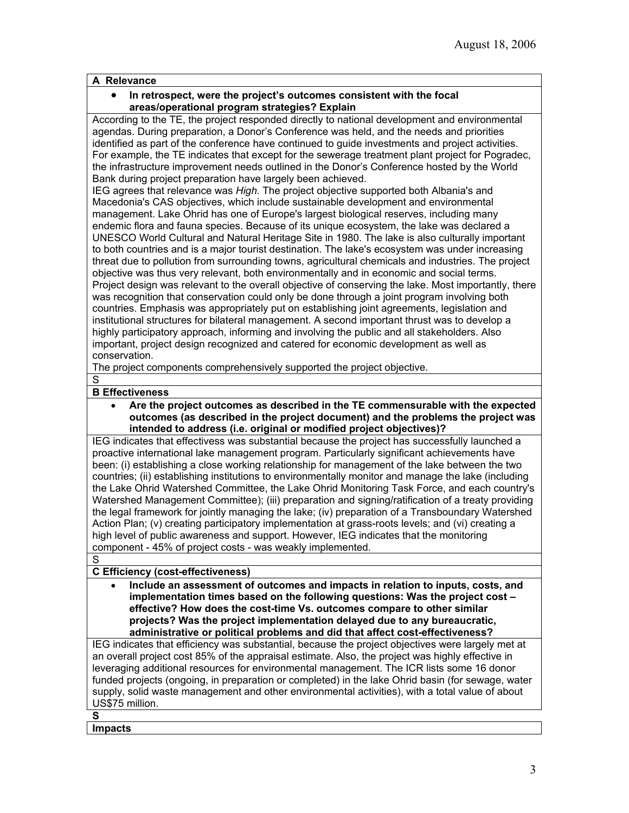# **A Relevance**

### • **In retrospect, were the project's outcomes consistent with the focal areas/operational program strategies? Explain**

According to the TE, the project responded directly to national development and environmental agendas. During preparation, a Donor's Conference was held, and the needs and priorities identified as part of the conference have continued to guide investments and project activities. For example, the TE indicates that except for the sewerage treatment plant project for Pogradec, the infrastructure improvement needs outlined in the Donor's Conference hosted by the World Bank during project preparation have largely been achieved.

IEG agrees that relevance was *High.* The project objective supported both Albania's and Macedonia's CAS objectives, which include sustainable development and environmental management. Lake Ohrid has one of Europe's largest biological reserves, including many endemic flora and fauna species. Because of its unique ecosystem, the lake was declared a UNESCO World Cultural and Natural Heritage Site in 1980. The lake is also culturally important to both countries and is a major tourist destination. The lake's ecosystem was under increasing threat due to pollution from surrounding towns, agricultural chemicals and industries. The project objective was thus very relevant, both environmentally and in economic and social terms. Project design was relevant to the overall objective of conserving the lake. Most importantly, there was recognition that conservation could only be done through a joint program involving both countries. Emphasis was appropriately put on establishing joint agreements, legislation and institutional structures for bilateral management. A second important thrust was to develop a highly participatory approach, informing and involving the public and all stakeholders. Also important, project design recognized and catered for economic development as well as conservation.

The project components comprehensively supported the project objective.

# S

# **B Effectiveness**

• **Are the project outcomes as described in the TE commensurable with the expected outcomes (as described in the project document) and the problems the project was intended to address (i.e. original or modified project objectives)?** 

IEG indicates that effectivess was substantial because the project has successfully launched a proactive international lake management program. Particularly significant achievements have been: (i) establishing a close working relationship for management of the lake between the two countries; (ii) establishing institutions to environmentally monitor and manage the lake (including the Lake Ohrid Watershed Committee, the Lake Ohrid Monitoring Task Force, and each country's Watershed Management Committee); (iii) preparation and signing/ratification of a treaty providing the legal framework for jointly managing the lake; (iv) preparation of a Transboundary Watershed Action Plan; (v) creating participatory implementation at grass-roots levels; and (vi) creating a high level of public awareness and support. However, IEG indicates that the monitoring component - 45% of project costs - was weakly implemented.

# S

### **C Efficiency (cost-effectiveness)**

• **Include an assessment of outcomes and impacts in relation to inputs, costs, and implementation times based on the following questions: Was the project cost – effective? How does the cost-time Vs. outcomes compare to other similar projects? Was the project implementation delayed due to any bureaucratic, administrative or political problems and did that affect cost-effectiveness?**

IEG indicates that efficiency was substantial, because the project objectives were largely met at an overall project cost 85% of the appraisal estimate. Also, the project was highly effective in leveraging additional resources for environmental management. The ICR lists some 16 donor funded projects (ongoing, in preparation or completed) in the lake Ohrid basin (for sewage, water supply, solid waste management and other environmental activities), with a total value of about US\$75 million.

# **S**

**Impacts**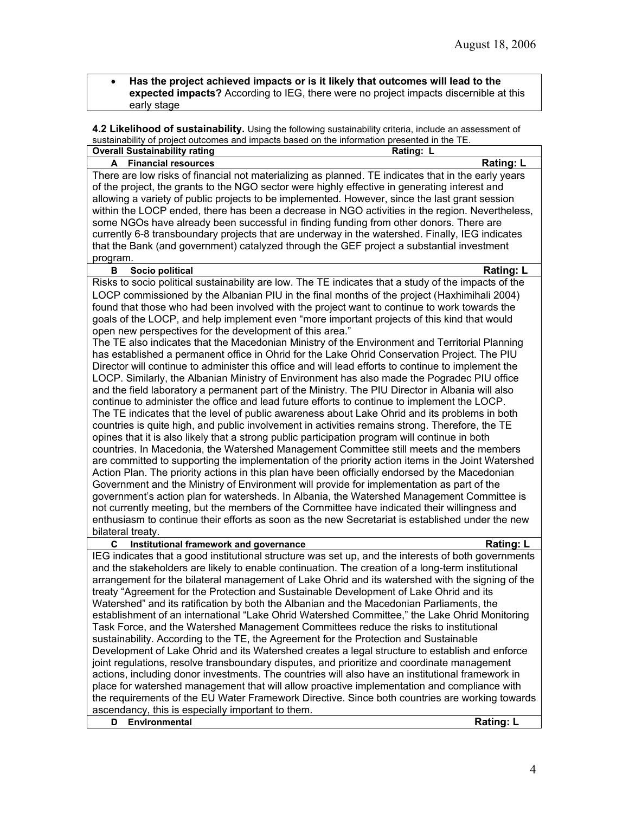• **Has the project achieved impacts or is it likely that outcomes will lead to the expected impacts?** According to IEG, there were no project impacts discernible at this early stage

**4.2 Likelihood of sustainability.** Using the following sustainability criteria, include an assessment of sustainability of project outcomes and impacts based on the information presented in the TE.

| sustainability of project outcomes and impacts based on the imormation presented in the TE.<br><b>Overall Sustainability rating</b> | Rating: L        |
|-------------------------------------------------------------------------------------------------------------------------------------|------------------|
|                                                                                                                                     | Rating: L        |
| A Financial resources                                                                                                               |                  |
| There are low risks of financial not materializing as planned. TE indicates that in the early years                                 |                  |
| of the project, the grants to the NGO sector were highly effective in generating interest and                                       |                  |
| allowing a variety of public projects to be implemented. However, since the last grant session                                      |                  |
| within the LOCP ended, there has been a decrease in NGO activities in the region. Nevertheless,                                     |                  |
| some NGOs have already been successful in finding funding from other donors. There are                                              |                  |
| currently 6-8 transboundary projects that are underway in the watershed. Finally, IEG indicates                                     |                  |
| that the Bank (and government) catalyzed through the GEF project a substantial investment                                           |                  |
| program.                                                                                                                            |                  |
| в<br>Socio political                                                                                                                | <b>Rating: L</b> |
| Risks to socio political sustainability are low. The TE indicates that a study of the impacts of the                                |                  |
| LOCP commissioned by the Albanian PIU in the final months of the project (Haxhimihali 2004)                                         |                  |
| found that those who had been involved with the project want to continue to work towards the                                        |                  |
| goals of the LOCP, and help implement even "more important projects of this kind that would                                         |                  |
| open new perspectives for the development of this area."                                                                            |                  |
| The TE also indicates that the Macedonian Ministry of the Environment and Territorial Planning                                      |                  |
| has established a permanent office in Ohrid for the Lake Ohrid Conservation Project. The PIU                                        |                  |
| Director will continue to administer this office and will lead efforts to continue to implement the                                 |                  |
| LOCP. Similarly, the Albanian Ministry of Environment has also made the Pogradec PIU office                                         |                  |
| and the field laboratory a permanent part of the Ministry. The PIU Director in Albania will also                                    |                  |
| continue to administer the office and lead future efforts to continue to implement the LOCP.                                        |                  |
| The TE indicates that the level of public awareness about Lake Ohrid and its problems in both                                       |                  |
|                                                                                                                                     |                  |
| countries is quite high, and public involvement in activities remains strong. Therefore, the TE                                     |                  |
| opines that it is also likely that a strong public participation program will continue in both                                      |                  |
| countries. In Macedonia, the Watershed Management Committee still meets and the members                                             |                  |
| are committed to supporting the implementation of the priority action items in the Joint Watershed                                  |                  |
| Action Plan. The priority actions in this plan have been officially endorsed by the Macedonian                                      |                  |
| Government and the Ministry of Environment will provide for implementation as part of the                                           |                  |
| government's action plan for watersheds. In Albania, the Watershed Management Committee is                                          |                  |
| not currently meeting, but the members of the Committee have indicated their willingness and                                        |                  |
| enthusiasm to continue their efforts as soon as the new Secretariat is established under the new                                    |                  |
| bilateral treaty.                                                                                                                   |                  |
| C<br>Institutional framework and governance                                                                                         | Rating: L        |
| IEG indicates that a good institutional structure was set up, and the interests of both governments                                 |                  |
| and the stakeholders are likely to enable continuation. The creation of a long-term institutional                                   |                  |
| arrangement for the bilateral management of Lake Ohrid and its watershed with the signing of the                                    |                  |
| treaty "Agreement for the Protection and Sustainable Development of Lake Ohrid and its                                              |                  |
| Watershed" and its ratification by both the Albanian and the Macedonian Parliaments, the                                            |                  |
| establishment of an international "Lake Ohrid Watershed Committee," the Lake Ohrid Monitoring                                       |                  |
| Task Force, and the Watershed Management Committees reduce the risks to institutional                                               |                  |
| sustainability. According to the TE, the Agreement for the Protection and Sustainable                                               |                  |
| Development of Lake Ohrid and its Watershed creates a legal structure to establish and enforce                                      |                  |
| joint regulations, resolve transboundary disputes, and prioritize and coordinate management                                         |                  |
| actions, including donor investments. The countries will also have an institutional framework in                                    |                  |
| place for watershed management that will allow proactive implementation and compliance with                                         |                  |
| the requirements of the EU Water Framework Directive. Since both countries are working towards                                      |                  |
|                                                                                                                                     |                  |
| ascendancy, this is especially important to them.                                                                                   |                  |
| Environmental<br>D                                                                                                                  | <b>Rating: L</b> |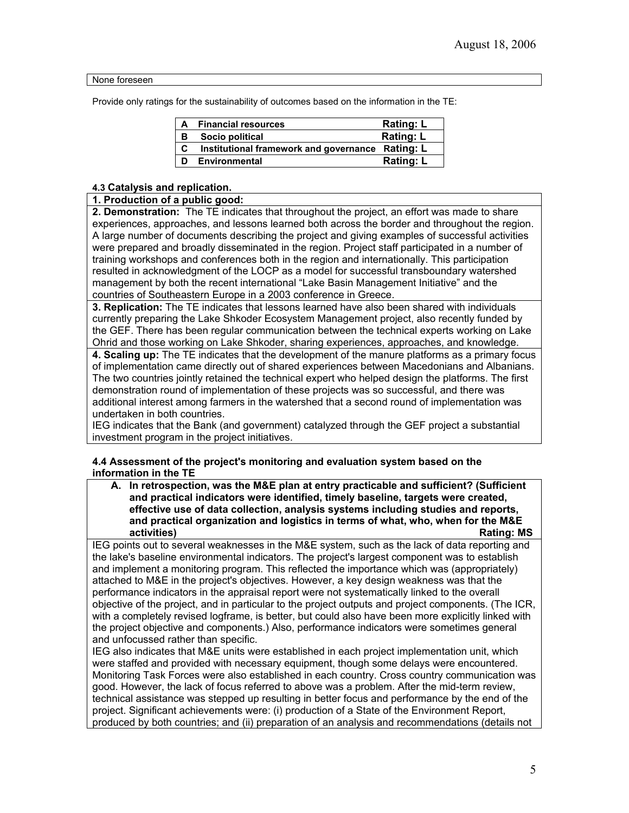None foreseen

Provide only ratings for the sustainability of outcomes based on the information in the TE:

| A | <b>Financial resources</b>                       | <b>Rating: L</b> |
|---|--------------------------------------------------|------------------|
| в | Socio political                                  | <b>Rating: L</b> |
| C | Institutional framework and governance Rating: L |                  |
| D | Environmental                                    | <b>Rating: L</b> |

### **4.3 Catalysis and replication.**

### **1. Production of a public good:**

**2. Demonstration:** The TE indicates that throughout the project, an effort was made to share experiences, approaches, and lessons learned both across the border and throughout the region. A large number of documents describing the project and giving examples of successful activities were prepared and broadly disseminated in the region. Project staff participated in a number of training workshops and conferences both in the region and internationally. This participation resulted in acknowledgment of the LOCP as a model for successful transboundary watershed management by both the recent international "Lake Basin Management Initiative" and the countries of Southeastern Europe in a 2003 conference in Greece.

**3. Replication:** The TE indicates that lessons learned have also been shared with individuals currently preparing the Lake Shkoder Ecosystem Management project, also recently funded by the GEF. There has been regular communication between the technical experts working on Lake Ohrid and those working on Lake Shkoder, sharing experiences, approaches, and knowledge.

**4. Scaling up:** The TE indicates that the development of the manure platforms as a primary focus of implementation came directly out of shared experiences between Macedonians and Albanians. The two countries jointly retained the technical expert who helped design the platforms. The first demonstration round of implementation of these projects was so successful, and there was additional interest among farmers in the watershed that a second round of implementation was undertaken in both countries.

IEG indicates that the Bank (and government) catalyzed through the GEF project a substantial investment program in the project initiatives.

### **4.4 Assessment of the project's monitoring and evaluation system based on the information in the TE**

| A. In retrospection, was the M&E plan at entry practicable and sufficient? (Sufficient |
|----------------------------------------------------------------------------------------|
| and practical indicators were identified, timely baseline, targets were created,       |
| effective use of data collection, analysis systems including studies and reports,      |
| and practical organization and logistics in terms of what, who, when for the M&E       |
| <b>Rating: MS</b><br>activities)                                                       |

IEG points out to several weaknesses in the M&E system, such as the lack of data reporting and the lake's baseline environmental indicators. The project's largest component was to establish and implement a monitoring program. This reflected the importance which was (appropriately) attached to M&E in the project's objectives. However, a key design weakness was that the performance indicators in the appraisal report were not systematically linked to the overall objective of the project, and in particular to the project outputs and project components. (The ICR, with a completely revised logframe, is better, but could also have been more explicitly linked with the project objective and components.) Also, performance indicators were sometimes general and unfocussed rather than specific.

IEG also indicates that M&E units were established in each project implementation unit, which were staffed and provided with necessary equipment, though some delays were encountered. Monitoring Task Forces were also established in each country. Cross country communication was good. However, the lack of focus referred to above was a problem. After the mid-term review, technical assistance was stepped up resulting in better focus and performance by the end of the project. Significant achievements were: (i) production of a State of the Environment Report, produced by both countries; and (ii) preparation of an analysis and recommendations (details not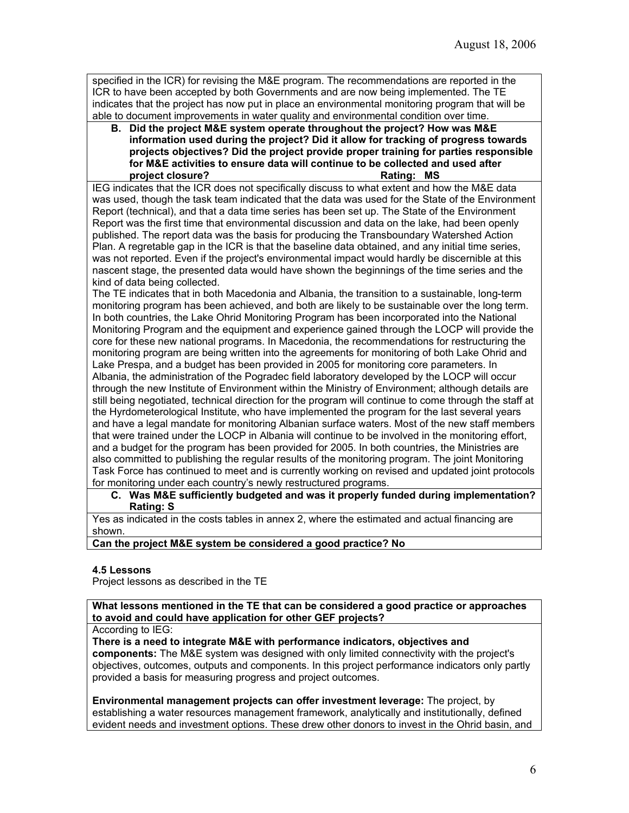specified in the ICR) for revising the M&E program. The recommendations are reported in the ICR to have been accepted by both Governments and are now being implemented. The TE indicates that the project has now put in place an environmental monitoring program that will be able to document improvements in water quality and environmental condition over time.

**B. Did the project M&E system operate throughout the project? How was M&E information used during the project? Did it allow for tracking of progress towards projects objectives? Did the project provide proper training for parties responsible for M&E activities to ensure data will continue to be collected and used after**  project closure? **Rating: MS** 

IEG indicates that the ICR does not specifically discuss to what extent and how the M&E data was used, though the task team indicated that the data was used for the State of the Environment Report (technical), and that a data time series has been set up. The State of the Environment Report was the first time that environmental discussion and data on the lake, had been openly published. The report data was the basis for producing the Transboundary Watershed Action Plan. A regretable gap in the ICR is that the baseline data obtained, and any initial time series, was not reported. Even if the project's environmental impact would hardly be discernible at this nascent stage, the presented data would have shown the beginnings of the time series and the kind of data being collected.

The TE indicates that in both Macedonia and Albania, the transition to a sustainable, long-term monitoring program has been achieved, and both are likely to be sustainable over the long term. In both countries, the Lake Ohrid Monitoring Program has been incorporated into the National Monitoring Program and the equipment and experience gained through the LOCP will provide the core for these new national programs. In Macedonia, the recommendations for restructuring the monitoring program are being written into the agreements for monitoring of both Lake Ohrid and Lake Prespa, and a budget has been provided in 2005 for monitoring core parameters. In Albania, the administration of the Pogradec field laboratory developed by the LOCP will occur through the new Institute of Environment within the Ministry of Environment; although details are still being negotiated, technical direction for the program will continue to come through the staff at the Hyrdometerological Institute, who have implemented the program for the last several years and have a legal mandate for monitoring Albanian surface waters. Most of the new staff members that were trained under the LOCP in Albania will continue to be involved in the monitoring effort, and a budget for the program has been provided for 2005. In both countries, the Ministries are also committed to publishing the regular results of the monitoring program. The joint Monitoring Task Force has continued to meet and is currently working on revised and updated joint protocols for monitoring under each country's newly restructured programs.

### **C. Was M&E sufficiently budgeted and was it properly funded during implementation? Rating: S**

Yes as indicated in the costs tables in annex 2, where the estimated and actual financing are shown.

**Can the project M&E system be considered a good practice? No**

### **4.5 Lessons**

Project lessons as described in the TE

**What lessons mentioned in the TE that can be considered a good practice or approaches to avoid and could have application for other GEF projects?**

### According to IEG:

**There is a need to integrate M&E with performance indicators, objectives and components:** The M&E system was designed with only limited connectivity with the project's objectives, outcomes, outputs and components. In this project performance indicators only partly provided a basis for measuring progress and project outcomes.

**Environmental management projects can offer investment leverage:** The project, by establishing a water resources management framework, analytically and institutionally, defined evident needs and investment options. These drew other donors to invest in the Ohrid basin, and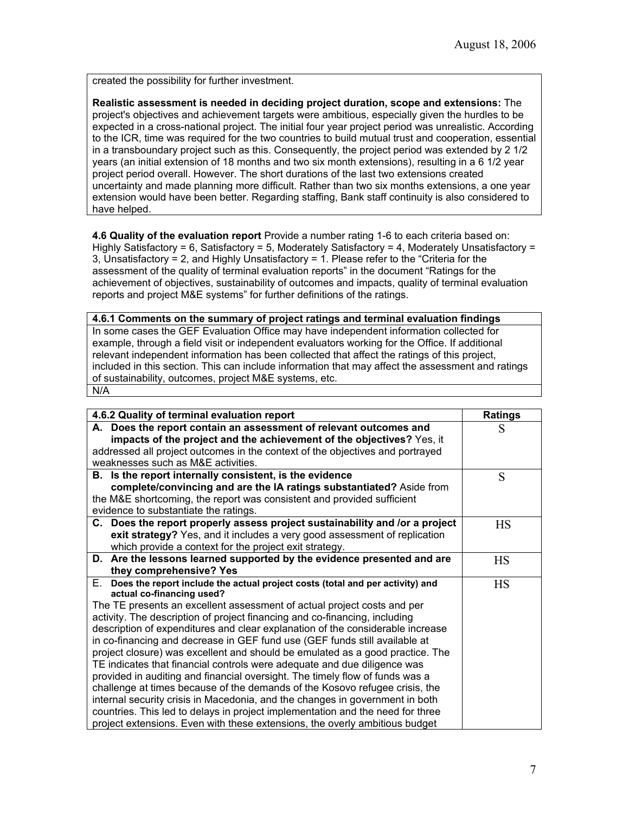created the possibility for further investment.

**Realistic assessment is needed in deciding project duration, scope and extensions:** The project's objectives and achievement targets were ambitious, especially given the hurdles to be expected in a cross-national project. The initial four year project period was unrealistic. According to the ICR, time was required for the two countries to build mutual trust and cooperation, essential in a transboundary project such as this. Consequently, the project period was extended by 2 1/2 years (an initial extension of 18 months and two six month extensions), resulting in a 6 1/2 year project period overall. However. The short durations of the last two extensions created uncertainty and made planning more difficult. Rather than two six months extensions, a one year extension would have been better. Regarding staffing, Bank staff continuity is also considered to have helped.

**4.6 Quality of the evaluation report** Provide a number rating 1-6 to each criteria based on: Highly Satisfactory = 6, Satisfactory = 5, Moderately Satisfactory = 4, Moderately Unsatisfactory = 3, Unsatisfactory = 2, and Highly Unsatisfactory = 1. Please refer to the "Criteria for the assessment of the quality of terminal evaluation reports" in the document "Ratings for the achievement of objectives, sustainability of outcomes and impacts, quality of terminal evaluation reports and project M&E systems" for further definitions of the ratings.

**4.6.1 Comments on the summary of project ratings and terminal evaluation findings** In some cases the GEF Evaluation Office may have independent information collected for example, through a field visit or independent evaluators working for the Office. If additional relevant independent information has been collected that affect the ratings of this project, included in this section. This can include information that may affect the assessment and ratings of sustainability, outcomes, project M&E systems, etc. N/A

| 4.6.2 Quality of terminal evaluation report                                         | <b>Ratings</b> |
|-------------------------------------------------------------------------------------|----------------|
| A. Does the report contain an assessment of relevant outcomes and                   | S              |
| impacts of the project and the achievement of the objectives? Yes, it               |                |
| addressed all project outcomes in the context of the objectives and portrayed       |                |
| weaknesses such as M&E activities.                                                  |                |
| B. Is the report internally consistent, is the evidence                             | S              |
| complete/convincing and are the IA ratings substantiated? Aside from                |                |
| the M&E shortcoming, the report was consistent and provided sufficient              |                |
| evidence to substantiate the ratings.                                               |                |
| C. Does the report properly assess project sustainability and /or a project         | <b>HS</b>      |
| exit strategy? Yes, and it includes a very good assessment of replication           |                |
| which provide a context for the project exit strategy.                              |                |
| D. Are the lessons learned supported by the evidence presented and are              | <b>HS</b>      |
| they comprehensive? Yes                                                             |                |
| Е.<br>Does the report include the actual project costs (total and per activity) and | <b>HS</b>      |
| actual co-financing used?                                                           |                |
| The TE presents an excellent assessment of actual project costs and per             |                |
| activity. The description of project financing and co-financing, including          |                |
| description of expenditures and clear explanation of the considerable increase      |                |
| in co-financing and decrease in GEF fund use (GEF funds still available at          |                |
| project closure) was excellent and should be emulated as a good practice. The       |                |
| TE indicates that financial controls were adequate and due diligence was            |                |
| provided in auditing and financial oversight. The timely flow of funds was a        |                |
| challenge at times because of the demands of the Kosovo refugee crisis, the         |                |
| internal security crisis in Macedonia, and the changes in government in both        |                |
| countries. This led to delays in project implementation and the need for three      |                |
| project extensions. Even with these extensions, the overly ambitious budget         |                |